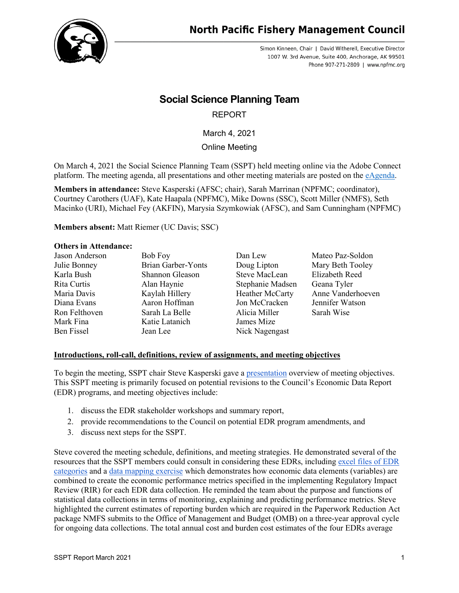

Simon Kinneen, Chair | David Witherell, Executive Director 1007 W. 3rd Avenue, Suite 400, Anchorage, AK 99501 Phone 907-271-2809 | www.npfmc.org

# **Social Science Planning Team**

## REPORT

March 4, 2021

Online Meeting

On March 4, 2021 the Social Science Planning Team (SSPT) held meeting online via the Adobe Connect platform. The meeting agenda, all presentations and other meeting materials are posted on the [eAgenda.](https://meetings.npfmc.org/Meeting/Details/1886)

**Members in attendance:** Steve Kasperski (AFSC; chair), Sarah Marrinan (NPFMC; coordinator), Courtney Carothers (UAF), Kate Haapala (NPFMC), Mike Downs (SSC), Scott Miller (NMFS), Seth Macinko (URI), Michael Fey (AKFIN), Marysia Szymkowiak (AFSC), and Sam Cunningham (NPFMC)

**Members absent:** Matt Riemer (UC Davis; SSC)

#### **Others in Attendance:**

| Jason Anderson | Bob Foy                   | Dan Lew          | Mateo Paz-Soldon  |
|----------------|---------------------------|------------------|-------------------|
| Julie Bonney   | <b>Brian Garber-Yonts</b> | Doug Lipton      | Mary Beth Tooley  |
| Karla Bush     | Shannon Gleason           | Steve MacLean    | Elizabeth Reed    |
| Rita Curtis    | Alan Haynie               | Stephanie Madsen | Geana Tyler       |
| Maria Davis    | Kaylah Hillery            | Heather McCarty  | Anne Vanderhoeven |
| Diana Evans    | Aaron Hoffman             | Jon McCracken    | Jennifer Watson   |
| Ron Felthoven  | Sarah La Belle            | Alicia Miller    | Sarah Wise        |
| Mark Fina      | Katie Latanich            | James Mize       |                   |
| Ben Fissel     | Jean Lee                  | Nick Nagengast   |                   |
|                |                           |                  |                   |

### **Introductions, roll-call, definitions, review of assignments, and meeting objectives**

To begin the meeting, SSPT chair Steve Kasperski gave a [presentation](https://meetings.npfmc.org/CommentReview/DownloadFile?p=6f37bc1b-e1f3-435e-a50b-29434a35be1e.pptx&fileName=SSPT%20March%20EDR%20Recommendation%20meeting%202021_03_04.pptx) overview of meeting objectives. This SSPT meeting is primarily focused on potential revisions to the Council's Economic Data Report (EDR) programs, and meeting objectives include:

- 1. discuss the EDR stakeholder workshops and summary report,
- 2. provide recommendations to the Council on potential EDR program amendments, and
- 3. discuss next steps for the SSPT.

Steve covered the meeting schedule, definitions, and meeting strategies. He demonstrated several of the resources that the SSPT members could consult in considering these EDRs, including [excel files of EDR](https://meetings.npfmc.org/CommentReview/DownloadFile?p=de20f9b2-d088-4e3a-8931-2b1585aba190.xlsx&fileName=EDR%20Categories_3.3.21.xlsx)  [categories](https://meetings.npfmc.org/CommentReview/DownloadFile?p=de20f9b2-d088-4e3a-8931-2b1585aba190.xlsx&fileName=EDR%20Categories_3.3.21.xlsx) and a [data mapping exercise](https://meetings.npfmc.org/CommentReview/DownloadFile?p=fa360d92-f261-4427-9d8e-904f6d8e1487.xlsx&fileName=EDR%20mapping%20exercise.xlsx) which demonstrates how economic data elements (variables) are combined to create the economic performance metrics specified in the implementing Regulatory Impact Review (RIR) for each EDR data collection. He reminded the team about the purpose and functions of statistical data collections in terms of monitoring, explaining and predicting performance metrics. Steve highlighted the current estimates of reporting burden which are required in the Paperwork Reduction Act package NMFS submits to the Office of Management and Budget (OMB) on a three-year approval cycle for ongoing data collections. The total annual cost and burden cost estimates of the four EDRs average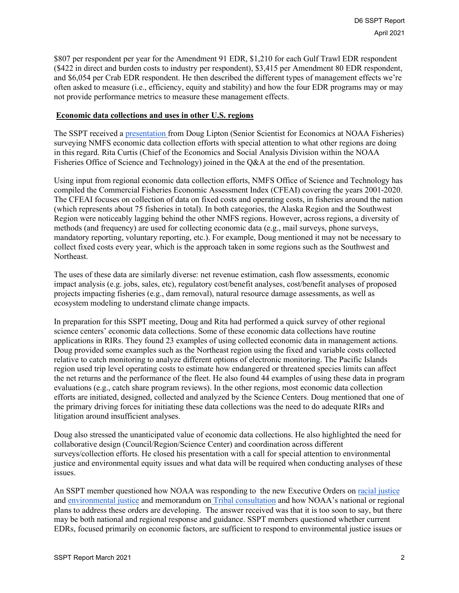\$807 per respondent per year for the Amendment 91 EDR, \$1,210 for each Gulf Trawl EDR respondent (\$422 in direct and burden costs to industry per respondent), \$3,415 per Amendment 80 EDR respondent, and \$6,054 per Crab EDR respondent. He then described the different types of management effects we're often asked to measure (i.e., efficiency, equity and stability) and how the four EDR programs may or may not provide performance metrics to measure these management effects.

#### **Economic data collections and uses in other U.S. regions**

The SSPT received a [presentation f](https://www.google.com/url?q=https://meetings.npfmc.org/CommentReview/DownloadFile?p%3D183b7993-4678-497f-ae51-7fa70e4f204a.pptx%26fileName%3DNMFS%2520data%2520collections_Lipton%2520SSPT.pptx&sa=D&source=editors&ust=1616548664627000&usg=AOvVaw2dgb86CTrwHMlhWwa2TVOq)rom Doug Lipton (Senior Scientist for Economics at NOAA Fisheries) surveying NMFS economic data collection efforts with special attention to what other regions are doing in this regard. Rita Curtis (Chief of the Economics and Social Analysis Division within the NOAA Fisheries Office of Science and Technology) joined in the Q&A at the end of the presentation.

Using input from regional economic data collection efforts, NMFS Office of Science and Technology has compiled the Commercial Fisheries Economic Assessment Index (CFEAI) covering the years 2001-2020. The CFEAI focuses on collection of data on fixed costs and operating costs, in fisheries around the nation (which represents about 75 fisheries in total). In both categories, the Alaska Region and the Southwest Region were noticeably lagging behind the other NMFS regions. However, across regions, a diversity of methods (and frequency) are used for collecting economic data (e.g., mail surveys, phone surveys, mandatory reporting, voluntary reporting, etc.). For example, Doug mentioned it may not be necessary to collect fixed costs every year, which is the approach taken in some regions such as the Southwest and Northeast.

The uses of these data are similarly diverse: net revenue estimation, cash flow assessments, economic impact analysis (e.g. jobs, sales, etc), regulatory cost/benefit analyses, cost/benefit analyses of proposed projects impacting fisheries (e.g., dam removal), natural resource damage assessments, as well as ecosystem modeling to understand climate change impacts.

In preparation for this SSPT meeting, Doug and Rita had performed a quick survey of other regional science centers' economic data collections. Some of these economic data collections have routine applications in RIRs. They found 23 examples of using collected economic data in management actions. Doug provided some examples such as the Northeast region using the fixed and variable costs collected relative to catch monitoring to analyze different options of electronic monitoring. The Pacific Islands region used trip level operating costs to estimate how endangered or threatened species limits can affect the net returns and the performance of the fleet. He also found 44 examples of using these data in program evaluations (e.g., catch share program reviews). In the other regions, most economic data collection efforts are initiated, designed, collected and analyzed by the Science Centers. Doug mentioned that one of the primary driving forces for initiating these data collections was the need to do adequate RIRs and litigation around insufficient analyses.

Doug also stressed the unanticipated value of economic data collections. He also highlighted the need for collaborative design (Council/Region/Science Center) and coordination across different surveys/collection efforts. He closed his presentation with a call for special attention to environmental justice and environmental equity issues and what data will be required when conducting analyses of these issues.

An SSPT member questioned how NOAA was responding to the new Executive Orders on [racial justice](https://www.federalregister.gov/documents/2021/01/25/2021-01753/advancing-racial-equity-and-support-for-underserved-communities-through-the-federal-government) and [environmental justice](https://www.federalregister.gov/documents/2021/02/01/2021-02177/tackling-the-climate-crisis-at-home-and-abroad) and memorandum on [Tribal consultation](https://www.whitehouse.gov/briefing-room/presidential-actions/2021/01/26/memorandum-on-tribal-consultation-and-strengthening-nation-to-nation-relationships/) and how NOAA's national or regional plans to address these orders are developing. The answer received was that it is too soon to say, but there may be both national and regional response and guidance. SSPT members questioned whether current EDRs, focused primarily on economic factors, are sufficient to respond to environmental justice issues or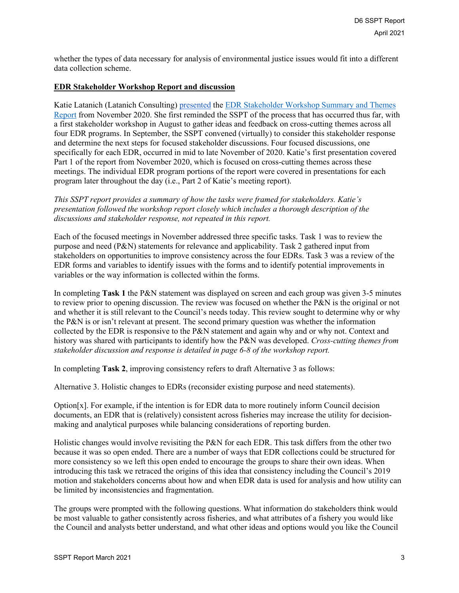whether the types of data necessary for analysis of environmental justice issues would fit into a different data collection scheme.

#### **EDR Stakeholder Workshop Report and discussion**

Katie Latanich (Latanich Consulting) [presented](https://meetings.npfmc.org/CommentReview/DownloadFile?p=2ada4ca0-0913-4bc6-8028-f0c469624a32.pptx&fileName=SSPT%20Meeting%20Slides%20-%20Part%201%20-%20Cross-cutting%20themes.pptx) the EDR Stakeholder Workshop [Summary and Themes](https://meetings.npfmc.org/CommentReview/DownloadFile?p=63d9cc73-80b1-4d80-8f5c-c277cf63d41e.pdf&fileName=D6%20EDR%20stakeholder%20workshop%20report%20Nov%202020.pdf)  [Report](https://meetings.npfmc.org/CommentReview/DownloadFile?p=63d9cc73-80b1-4d80-8f5c-c277cf63d41e.pdf&fileName=D6%20EDR%20stakeholder%20workshop%20report%20Nov%202020.pdf) from November 2020. She first reminded the SSPT of the process that has occurred thus far, with a first stakeholder workshop in August to gather ideas and feedback on cross-cutting themes across all four EDR programs. In September, the SSPT convened (virtually) to consider this stakeholder response and determine the next steps for focused stakeholder discussions. Four focused discussions, one specifically for each EDR, occurred in mid to late November of 2020. Katie's first presentation covered Part 1 of the report from November 2020, which is focused on cross-cutting themes across these meetings. The individual EDR program portions of the report were covered in presentations for each program later throughout the day (i.e., Part 2 of Katie's meeting report).

*This SSPT report provides a summary of how the tasks were framed for stakeholders. Katie's presentation followed the workshop report closely which includes a thorough description of the discussions and stakeholder response, not repeated in this report.*

Each of the focused meetings in November addressed three specific tasks. Task 1 was to review the purpose and need (P&N) statements for relevance and applicability. Task 2 gathered input from stakeholders on opportunities to improve consistency across the four EDRs. Task 3 was a review of the EDR forms and variables to identify issues with the forms and to identify potential improvements in variables or the way information is collected within the forms.

In completing **Task 1** the P&N statement was displayed on screen and each group was given 3-5 minutes to review prior to opening discussion. The review was focused on whether the P&N is the original or not and whether it is still relevant to the Council's needs today. This review sought to determine why or why the P&N is or isn't relevant at present. The second primary question was whether the information collected by the EDR is responsive to the P&N statement and again why and or why not. Context and history was shared with participants to identify how the P&N was developed. *Cross-cutting themes from stakeholder discussion and response is detailed in page 6-8 of the workshop report.*

In completing **Task 2**, improving consistency refers to draft Alternative 3 as follows:

Alternative 3. Holistic changes to EDRs (reconsider existing purpose and need statements).

Option[x]. For example, if the intention is for EDR data to more routinely inform Council decision documents, an EDR that is (relatively) consistent across fisheries may increase the utility for decisionmaking and analytical purposes while balancing considerations of reporting burden.

Holistic changes would involve revisiting the P&N for each EDR. This task differs from the other two because it was so open ended. There are a number of ways that EDR collections could be structured for more consistency so we left this open ended to encourage the groups to share their own ideas. When introducing this task we retraced the origins of this idea that consistency including the Council's 2019 motion and stakeholders concerns about how and when EDR data is used for analysis and how utility can be limited by inconsistencies and fragmentation.

The groups were prompted with the following questions. What information do stakeholders think would be most valuable to gather consistently across fisheries, and what attributes of a fishery you would like the Council and analysts better understand, and what other ideas and options would you like the Council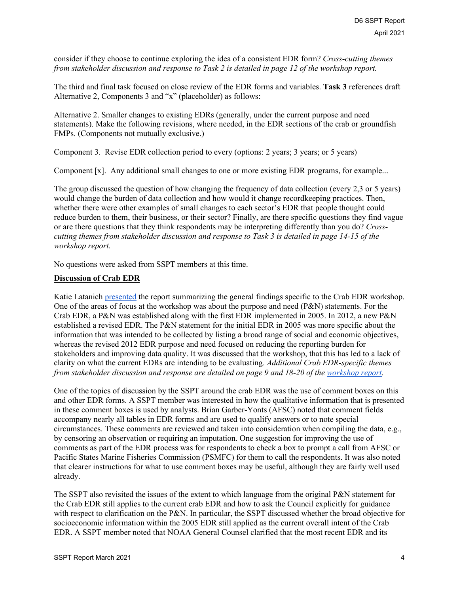consider if they choose to continue exploring the idea of a consistent EDR form? *Cross-cutting themes from stakeholder discussion and response to Task 2 is detailed in page 12 of the workshop report.*

The third and final task focused on close review of the EDR forms and variables. **Task 3** references draft Alternative 2, Components 3 and "x" (placeholder) as follows:

Alternative 2. Smaller changes to existing EDRs (generally, under the current purpose and need statements). Make the following revisions, where needed, in the EDR sections of the crab or groundfish FMPs. (Components not mutually exclusive.)

Component 3. Revise EDR collection period to every (options: 2 years; 3 years; or 5 years)

Component [x]. Any additional small changes to one or more existing EDR programs, for example...

The group discussed the question of how changing the frequency of data collection (every 2,3 or 5 years) would change the burden of data collection and how would it change recordkeeping practices. Then, whether there were other examples of small changes to each sector's EDR that people thought could reduce burden to them, their business, or their sector? Finally, are there specific questions they find vague or are there questions that they think respondents may be interpreting differently than you do? *Crosscutting themes from stakeholder discussion and response to Task 3 is detailed in page 14-15 of the workshop report.*

No questions were asked from SSPT members at this time.

## **Discussion of Crab EDR**

Katie Latanich [presented](https://meetings.npfmc.org/CommentReview/DownloadFile?p=31dcf3e7-3f4c-42e8-9a5d-56e9bb565a4f.pptx&fileName=SSPT%20Meeting%20Slides%20-%20Part%202%20-%20By%20EDR%20Program-Final.pptx) the report summarizing the general findings specific to the Crab EDR workshop. One of the areas of focus at the workshop was about the purpose and need  $(P\&N)$  statements. For the Crab EDR, a P&N was established along with the first EDR implemented in 2005. In 2012, a new P&N established a revised EDR. The P&N statement for the initial EDR in 2005 was more specific about the information that was intended to be collected by listing a broad range of social and economic objectives, whereas the revised 2012 EDR purpose and need focused on reducing the reporting burden for stakeholders and improving data quality. It was discussed that the workshop, that this has led to a lack of clarity on what the current EDRs are intending to be evaluating. *Additional Crab EDR-specific themes from stakeholder discussion and response are detailed on page 9 and 18-20 of the [workshop report.](https://meetings.npfmc.org/CommentReview/DownloadFile?p=63d9cc73-80b1-4d80-8f5c-c277cf63d41e.pdf&fileName=D6%20EDR%20stakeholder%20workshop%20report%20Nov%202020.pdf)*

One of the topics of discussion by the SSPT around the crab EDR was the use of comment boxes on this and other EDR forms. A SSPT member was interested in how the qualitative information that is presented in these comment boxes is used by analysts. Brian Garber-Yonts (AFSC) noted that comment fields accompany nearly all tables in EDR forms and are used to qualify answers or to note special circumstances. These comments are reviewed and taken into consideration when compiling the data, e.g., by censoring an observation or requiring an imputation. One suggestion for improving the use of comments as part of the EDR process was for respondents to check a box to prompt a call from AFSC or Pacific States Marine Fisheries Commission (PSMFC) for them to call the respondents. It was also noted that clearer instructions for what to use comment boxes may be useful, although they are fairly well used already.

The SSPT also revisited the issues of the extent to which language from the original P&N statement for the Crab EDR still applies to the current crab EDR and how to ask the Council explicitly for guidance with respect to clarification on the P&N. In particular, the SSPT discussed whether the broad objective for socioeconomic information within the 2005 EDR still applied as the current overall intent of the Crab EDR. A SSPT member noted that NOAA General Counsel clarified that the most recent EDR and its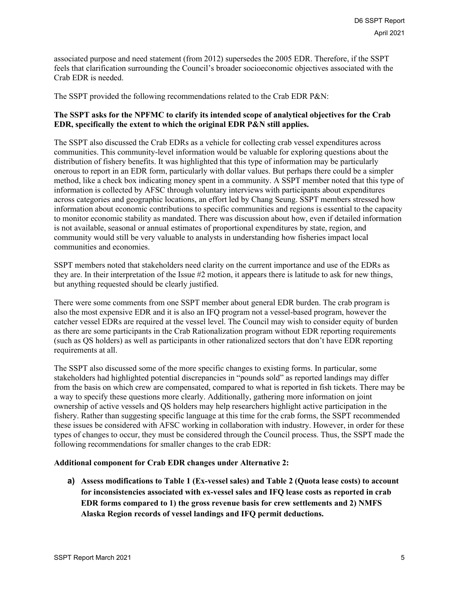associated purpose and need statement (from 2012) supersedes the 2005 EDR. Therefore, if the SSPT feels that clarification surrounding the Council's broader socioeconomic objectives associated with the Crab EDR is needed.

The SSPT provided the following recommendations related to the Crab EDR P&N:

### **The SSPT asks for the NPFMC to clarify its intended scope of analytical objectives for the Crab EDR, specifically the extent to which the original EDR P&N still applies.**

The SSPT also discussed the Crab EDRs as a vehicle for collecting crab vessel expenditures across communities. This community-level information would be valuable for exploring questions about the distribution of fishery benefits. It was highlighted that this type of information may be particularly onerous to report in an EDR form, particularly with dollar values. But perhaps there could be a simpler method, like a check box indicating money spent in a community. A SSPT member noted that this type of information is collected by AFSC through voluntary interviews with participants about expenditures across categories and geographic locations, an effort led by Chang Seung. SSPT members stressed how information about economic contributions to specific communities and regions is essential to the capacity to monitor economic stability as mandated. There was discussion about how, even if detailed information is not available, seasonal or annual estimates of proportional expenditures by state, region, and community would still be very valuable to analysts in understanding how fisheries impact local communities and economies.

SSPT members noted that stakeholders need clarity on the current importance and use of the EDRs as they are. In their interpretation of the Issue #2 motion, it appears there is latitude to ask for new things, but anything requested should be clearly justified.

There were some comments from one SSPT member about general EDR burden. The crab program is also the most expensive EDR and it is also an IFQ program not a vessel-based program, however the catcher vessel EDRs are required at the vessel level. The Council may wish to consider equity of burden as there are some participants in the Crab Rationalization program without EDR reporting requirements (such as QS holders) as well as participants in other rationalized sectors that don't have EDR reporting requirements at all.

The SSPT also discussed some of the more specific changes to existing forms. In particular, some stakeholders had highlighted potential discrepancies in "pounds sold" as reported landings may differ from the basis on which crew are compensated, compared to what is reported in fish tickets. There may be a way to specify these questions more clearly. Additionally, gathering more information on joint ownership of active vessels and QS holders may help researchers highlight active participation in the fishery. Rather than suggesting specific language at this time for the crab forms, the SSPT recommended these issues be considered with AFSC working in collaboration with industry. However, in order for these types of changes to occur, they must be considered through the Council process. Thus, the SSPT made the following recommendations for smaller changes to the crab EDR:

#### **Additional component for Crab EDR changes under Alternative 2:**

**a) Assess modifications to Table 1 (Ex-vessel sales) and Table 2 (Quota lease costs) to account for inconsistencies associated with ex-vessel sales and IFQ lease costs as reported in crab EDR forms compared to 1) the gross revenue basis for crew settlements and 2) NMFS Alaska Region records of vessel landings and IFQ permit deductions.**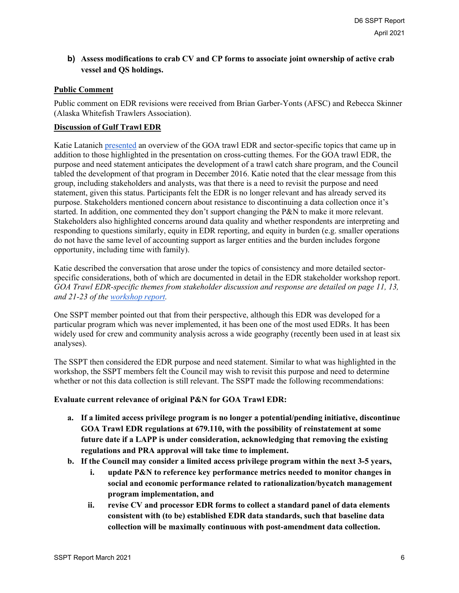## **b) Assess modifications to crab CV and CP forms to associate joint ownership of active crab vessel and QS holdings.**

### **Public Comment**

Public comment on EDR revisions were received from Brian Garber-Yonts (AFSC) and Rebecca Skinner (Alaska Whitefish Trawlers Association).

### **Discussion of Gulf Trawl EDR**

Katie Latanich [presented](https://meetings.npfmc.org/CommentReview/DownloadFile?p=31dcf3e7-3f4c-42e8-9a5d-56e9bb565a4f.pptx&fileName=SSPT%20Meeting%20Slides%20-%20Part%202%20-%20By%20EDR%20Program-Final.pptx) an overview of the GOA trawl EDR and sector-specific topics that came up in addition to those highlighted in the presentation on cross-cutting themes. For the GOA trawl EDR, the purpose and need statement anticipates the development of a trawl catch share program, and the Council tabled the development of that program in December 2016. Katie noted that the clear message from this group, including stakeholders and analysts, was that there is a need to revisit the purpose and need statement, given this status. Participants felt the EDR is no longer relevant and has already served its purpose. Stakeholders mentioned concern about resistance to discontinuing a data collection once it's started. In addition, one commented they don't support changing the P&N to make it more relevant. Stakeholders also highlighted concerns around data quality and whether respondents are interpreting and responding to questions similarly, equity in EDR reporting, and equity in burden (e.g. smaller operations do not have the same level of accounting support as larger entities and the burden includes forgone opportunity, including time with family).

Katie described the conversation that arose under the topics of consistency and more detailed sectorspecific considerations, both of which are documented in detail in the EDR stakeholder workshop report. *GOA Trawl EDR-specific themes from stakeholder discussion and response are detailed on page 11, 13, and 21-23 of the [workshop report.](https://meetings.npfmc.org/CommentReview/DownloadFile?p=63d9cc73-80b1-4d80-8f5c-c277cf63d41e.pdf&fileName=D6%20EDR%20stakeholder%20workshop%20report%20Nov%202020.pdf)*

One SSPT member pointed out that from their perspective, although this EDR was developed for a particular program which was never implemented, it has been one of the most used EDRs. It has been widely used for crew and community analysis across a wide geography (recently been used in at least six analyses).

The SSPT then considered the EDR purpose and need statement. Similar to what was highlighted in the workshop, the SSPT members felt the Council may wish to revisit this purpose and need to determine whether or not this data collection is still relevant. The SSPT made the following recommendations:

#### **Evaluate current relevance of original P&N for GOA Trawl EDR:**

- **a. If a limited access privilege program is no longer a potential/pending initiative, discontinue GOA Trawl EDR regulations at 679.110, with the possibility of reinstatement at some future date if a LAPP is under consideration, acknowledging that removing the existing regulations and PRA approval will take time to implement.**
- **b. If the Council may consider a limited access privilege program within the next 3-5 years,** 
	- **i. update P&N to reference key performance metrics needed to monitor changes in social and economic performance related to rationalization/bycatch management program implementation, and**
	- **ii. revise CV and processor EDR forms to collect a standard panel of data elements consistent with (to be) established EDR data standards, such that baseline data collection will be maximally continuous with post-amendment data collection.**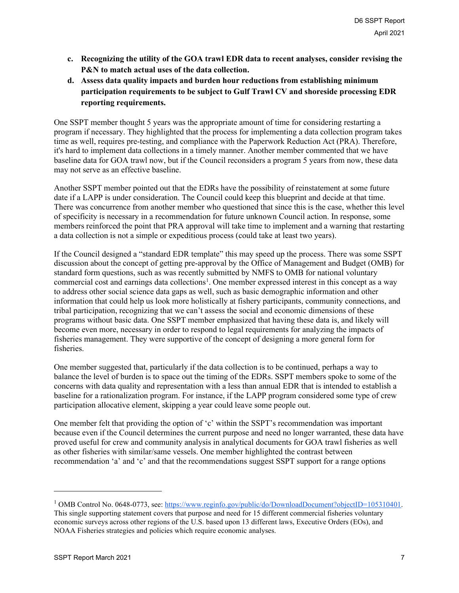- **c. Recognizing the utility of the GOA trawl EDR data to recent analyses, consider revising the P&N to match actual uses of the data collection.**
- **d. Assess data quality impacts and burden hour reductions from establishing minimum participation requirements to be subject to Gulf Trawl CV and shoreside processing EDR reporting requirements.**

One SSPT member thought 5 years was the appropriate amount of time for considering restarting a program if necessary. They highlighted that the process for implementing a data collection program takes time as well, requires pre-testing, and compliance with the Paperwork Reduction Act (PRA). Therefore, it's hard to implement data collections in a timely manner. Another member commented that we have baseline data for GOA trawl now, but if the Council reconsiders a program 5 years from now, these data may not serve as an effective baseline.

Another SSPT member pointed out that the EDRs have the possibility of reinstatement at some future date if a LAPP is under consideration. The Council could keep this blueprint and decide at that time. There was concurrence from another member who questioned that since this is the case, whether this level of specificity is necessary in a recommendation for future unknown Council action. In response, some members reinforced the point that PRA approval will take time to implement and a warning that restarting a data collection is not a simple or expeditious process (could take at least two years).

If the Council designed a "standard EDR template" this may speed up the process. There was some SSPT discussion about the concept of getting pre-approval by the Office of Management and Budget (OMB) for standard form questions, such as was recently submitted by NMFS to OMB for national voluntary commercial cost and earnings data collections<sup>[1](#page-6-0)</sup>. One member expressed interest in this concept as a way to address other social science data gaps as well, such as basic demographic information and other information that could help us look more holistically at fishery participants, community connections, and tribal participation, recognizing that we can't assess the social and economic dimensions of these programs without basic data. One SSPT member emphasized that having these data is, and likely will become even more, necessary in order to respond to legal requirements for analyzing the impacts of fisheries management. They were supportive of the concept of designing a more general form for fisheries.

One member suggested that, particularly if the data collection is to be continued, perhaps a way to balance the level of burden is to space out the timing of the EDRs. SSPT members spoke to some of the concerns with data quality and representation with a less than annual EDR that is intended to establish a baseline for a rationalization program. For instance, if the LAPP program considered some type of crew participation allocative element, skipping a year could leave some people out.

One member felt that providing the option of 'c' within the SSPT's recommendation was important because even if the Council determines the current purpose and need no longer warranted, these data have proved useful for crew and community analysis in analytical documents for GOA trawl fisheries as well as other fisheries with similar/same vessels. One member highlighted the contrast between recommendation 'a' and 'c' and that the recommendations suggest SSPT support for a range options

<span id="page-6-0"></span><sup>&</sup>lt;sup>1</sup> OMB Control No. 0648-0773, see: [https://www.reginfo.gov/public/do/DownloadDocument?objectID=105310401.](https://www.reginfo.gov/public/do/DownloadDocument?objectID=105310401) This single supporting statement covers that purpose and need for 15 different commercial fisheries voluntary economic surveys across other regions of the U.S. based upon 13 different laws, Executive Orders (EOs), and NOAA Fisheries strategies and policies which require economic analyses.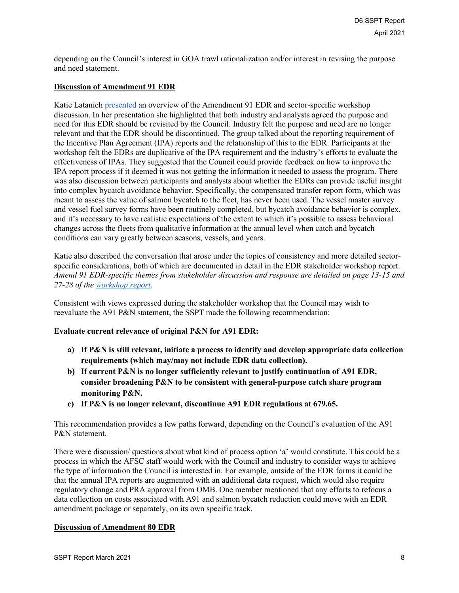depending on the Council's interest in GOA trawl rationalization and/or interest in revising the purpose and need statement.

### **Discussion of Amendment 91 EDR**

Katie Latanich [presented](https://meetings.npfmc.org/CommentReview/DownloadFile?p=31dcf3e7-3f4c-42e8-9a5d-56e9bb565a4f.pptx&fileName=SSPT%20Meeting%20Slides%20-%20Part%202%20-%20By%20EDR%20Program-Final.pptx) an overview of the Amendment 91 EDR and sector-specific workshop discussion. In her presentation she highlighted that both industry and analysts agreed the purpose and need for this EDR should be revisited by the Council. Industry felt the purpose and need are no longer relevant and that the EDR should be discontinued. The group talked about the reporting requirement of the Incentive Plan Agreement (IPA) reports and the relationship of this to the EDR. Participants at the workshop felt the EDRs are duplicative of the IPA requirement and the industry's efforts to evaluate the effectiveness of IPAs. They suggested that the Council could provide feedback on how to improve the IPA report process if it deemed it was not getting the information it needed to assess the program. There was also discussion between participants and analysts about whether the EDRs can provide useful insight into complex bycatch avoidance behavior. Specifically, the compensated transfer report form, which was meant to assess the value of salmon bycatch to the fleet, has never been used. The vessel master survey and vessel fuel survey forms have been routinely completed, but bycatch avoidance behavior is complex, and it's necessary to have realistic expectations of the extent to which it's possible to assess behavioral changes across the fleets from qualitative information at the annual level when catch and bycatch conditions can vary greatly between seasons, vessels, and years.

Katie also described the conversation that arose under the topics of consistency and more detailed sectorspecific considerations, both of which are documented in detail in the EDR stakeholder workshop report. *Amend 91 EDR-specific themes from stakeholder discussion and response are detailed on page 13-15 and 27-28 of the [workshop report.](https://meetings.npfmc.org/CommentReview/DownloadFile?p=63d9cc73-80b1-4d80-8f5c-c277cf63d41e.pdf&fileName=D6%20EDR%20stakeholder%20workshop%20report%20Nov%202020.pdf)*

Consistent with views expressed during the stakeholder workshop that the Council may wish to reevaluate the A91 P&N statement, the SSPT made the following recommendation:

#### **Evaluate current relevance of original P&N for A91 EDR:**

- **a) If P&N is still relevant, initiate a process to identify and develop appropriate data collection requirements (which may/may not include EDR data collection).**
- **b) If current P&N is no longer sufficiently relevant to justify continuation of A91 EDR, consider broadening P&N to be consistent with general-purpose catch share program monitoring P&N.**
- **c) If P&N is no longer relevant, discontinue A91 EDR regulations at 679.65.**

This recommendation provides a few paths forward, depending on the Council's evaluation of the A91 P&N statement.

There were discussion/ questions about what kind of process option 'a' would constitute. This could be a process in which the AFSC staff would work with the Council and industry to consider ways to achieve the type of information the Council is interested in. For example, outside of the EDR forms it could be that the annual IPA reports are augmented with an additional data request, which would also require regulatory change and PRA approval from OMB. One member mentioned that any efforts to refocus a data collection on costs associated with A91 and salmon bycatch reduction could move with an EDR amendment package or separately, on its own specific track.

#### **Discussion of Amendment 80 EDR**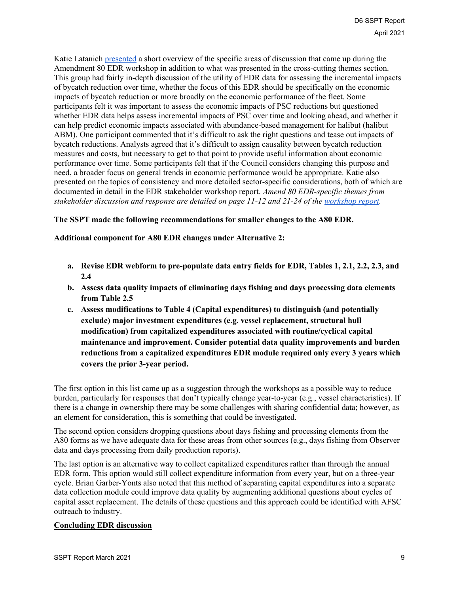Katie Latanich [presented](https://meetings.npfmc.org/CommentReview/DownloadFile?p=31dcf3e7-3f4c-42e8-9a5d-56e9bb565a4f.pptx&fileName=SSPT%20Meeting%20Slides%20-%20Part%202%20-%20By%20EDR%20Program-Final.pptx) a short overview of the specific areas of discussion that came up during the Amendment 80 EDR workshop in addition to what was presented in the cross-cutting themes section. This group had fairly in-depth discussion of the utility of EDR data for assessing the incremental impacts of bycatch reduction over time, whether the focus of this EDR should be specifically on the economic impacts of bycatch reduction or more broadly on the economic performance of the fleet. Some participants felt it was important to assess the economic impacts of PSC reductions but questioned whether EDR data helps assess incremental impacts of PSC over time and looking ahead, and whether it can help predict economic impacts associated with abundance-based management for halibut (halibut ABM). One participant commented that it's difficult to ask the right questions and tease out impacts of bycatch reductions. Analysts agreed that it's difficult to assign causality between bycatch reduction measures and costs, but necessary to get to that point to provide useful information about economic performance over time. Some participants felt that if the Council considers changing this purpose and need, a broader focus on general trends in economic performance would be appropriate. Katie also presented on the topics of consistency and more detailed sector-specific considerations, both of which are documented in detail in the EDR stakeholder workshop report. *Amend 80 EDR-specific themes from stakeholder discussion and response are detailed on page 11-12 and 21-24 of the [workshop report.](https://meetings.npfmc.org/CommentReview/DownloadFile?p=63d9cc73-80b1-4d80-8f5c-c277cf63d41e.pdf&fileName=D6%20EDR%20stakeholder%20workshop%20report%20Nov%202020.pdf)*

#### **The SSPT made the following recommendations for smaller changes to the A80 EDR.**

**Additional component for A80 EDR changes under Alternative 2:** 

- **a. Revise EDR webform to pre-populate data entry fields for EDR, Tables 1, 2.1, 2.2, 2.3, and 2.4**
- **b. Assess data quality impacts of eliminating days fishing and days processing data elements from Table 2.5**
- **c. Assess modifications to Table 4 (Capital expenditures) to distinguish (and potentially exclude) major investment expenditures (e.g. vessel replacement, structural hull modification) from capitalized expenditures associated with routine/cyclical capital maintenance and improvement. Consider potential data quality improvements and burden reductions from a capitalized expenditures EDR module required only every 3 years which covers the prior 3-year period.**

The first option in this list came up as a suggestion through the workshops as a possible way to reduce burden, particularly for responses that don't typically change year-to-year (e.g., vessel characteristics). If there is a change in ownership there may be some challenges with sharing confidential data; however, as an element for consideration, this is something that could be investigated.

The second option considers dropping questions about days fishing and processing elements from the A80 forms as we have adequate data for these areas from other sources (e.g., days fishing from Observer data and days processing from daily production reports).

The last option is an alternative way to collect capitalized expenditures rather than through the annual EDR form. This option would still collect expenditure information from every year, but on a three-year cycle. Brian Garber-Yonts also noted that this method of separating capital expenditures into a separate data collection module could improve data quality by augmenting additional questions about cycles of capital asset replacement. The details of these questions and this approach could be identified with AFSC outreach to industry.

#### **Concluding EDR discussion**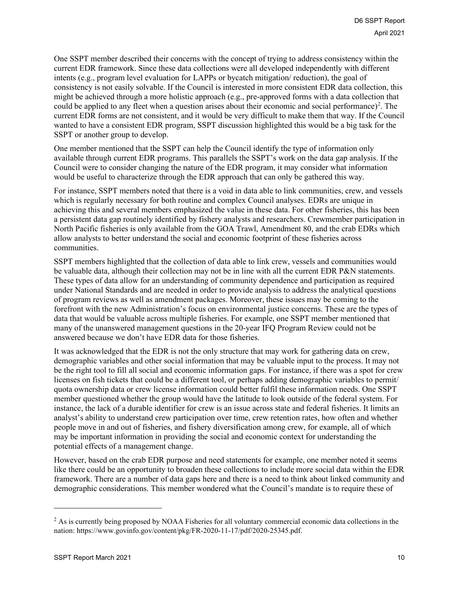One SSPT member described their concerns with the concept of trying to address consistency within the current EDR framework. Since these data collections were all developed independently with different intents (e.g., program level evaluation for LAPPs or bycatch mitigation/ reduction), the goal of consistency is not easily solvable. If the Council is interested in more consistent EDR data collection, this might be achieved through a more holistic approach (e.g., pre-approved forms with a data collection that could be applied to any fleet when a question arises about their economic and social performance)<sup>[2](#page-9-0)</sup>. The current EDR forms are not consistent, and it would be very difficult to make them that way. If the Council wanted to have a consistent EDR program, SSPT discussion highlighted this would be a big task for the SSPT or another group to develop.

One member mentioned that the SSPT can help the Council identify the type of information only available through current EDR programs. This parallels the SSPT's work on the data gap analysis. If the Council were to consider changing the nature of the EDR program, it may consider what information would be useful to characterize through the EDR approach that can only be gathered this way.

For instance, SSPT members noted that there is a void in data able to link communities, crew, and vessels which is regularly necessary for both routine and complex Council analyses. EDRs are unique in achieving this and several members emphasized the value in these data. For other fisheries, this has been a persistent data gap routinely identified by fishery analysts and researchers. Crewmember participation in North Pacific fisheries is only available from the GOA Trawl, Amendment 80, and the crab EDRs which allow analysts to better understand the social and economic footprint of these fisheries across communities.

SSPT members highlighted that the collection of data able to link crew, vessels and communities would be valuable data, although their collection may not be in line with all the current EDR P&N statements. These types of data allow for an understanding of community dependence and participation as required under National Standards and are needed in order to provide analysis to address the analytical questions of program reviews as well as amendment packages. Moreover, these issues may be coming to the forefront with the new Administration's focus on environmental justice concerns. These are the types of data that would be valuable across multiple fisheries. For example, one SSPT member mentioned that many of the unanswered management questions in the 20-year IFQ Program Review could not be answered because we don't have EDR data for those fisheries.

It was acknowledged that the EDR is not the only structure that may work for gathering data on crew, demographic variables and other social information that may be valuable input to the process. It may not be the right tool to fill all social and economic information gaps. For instance, if there was a spot for crew licenses on fish tickets that could be a different tool, or perhaps adding demographic variables to permit/ quota ownership data or crew license information could better fulfil these information needs. One SSPT member questioned whether the group would have the latitude to look outside of the federal system. For instance, the lack of a durable identifier for crew is an issue across state and federal fisheries. It limits an analyst's ability to understand crew participation over time, crew retention rates, how often and whether people move in and out of fisheries, and fishery diversification among crew, for example, all of which may be important information in providing the social and economic context for understanding the potential effects of a management change.

However, based on the crab EDR purpose and need statements for example, one member noted it seems like there could be an opportunity to broaden these collections to include more social data within the EDR framework. There are a number of data gaps here and there is a need to think about linked community and demographic considerations. This member wondered what the Council's mandate is to require these of

<span id="page-9-0"></span> $<sup>2</sup>$  As is currently being proposed by NOAA Fisheries for all voluntary commercial economic data collections in the</sup> nation: https://www.govinfo.gov/content/pkg/FR-2020-11-17/pdf/2020-25345.pdf.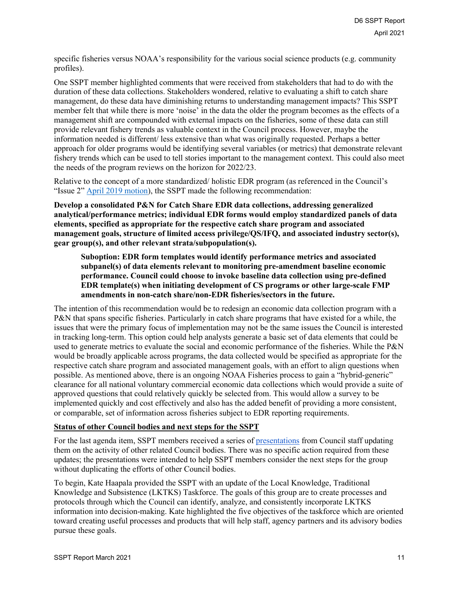specific fisheries versus NOAA's responsibility for the various social science products (e.g. community profiles).

One SSPT member highlighted comments that were received from stakeholders that had to do with the duration of these data collections. Stakeholders wondered, relative to evaluating a shift to catch share management, do these data have diminishing returns to understanding management impacts? This SSPT member felt that while there is more 'noise' in the data the older the program becomes as the effects of a management shift are compounded with external impacts on the fisheries, some of these data can still provide relevant fishery trends as valuable context in the Council process. However, maybe the information needed is different/ less extensive than what was originally requested. Perhaps a better approach for older programs would be identifying several variables (or metrics) that demonstrate relevant fishery trends which can be used to tell stories important to the management context. This could also meet the needs of the program reviews on the horizon for 2022/23.

Relative to the concept of a more standardized/ holistic EDR program (as referenced in the Council's "Issue 2" [April 2019 motion\)](https://meetings.npfmc.org/CommentReview/DownloadFile?p=695c22f1-5139-4ea6-a7c4-7c92b5428cd2.pdf&fileName=D5%20MOTION.pdf), the SSPT made the following recommendation:

**Develop a consolidated P&N for Catch Share EDR data collections, addressing generalized analytical/performance metrics; individual EDR forms would employ standardized panels of data elements, specified as appropriate for the respective catch share program and associated management goals, structure of limited access privilege/QS/IFQ, and associated industry sector(s), gear group(s), and other relevant strata/subpopulation(s).**

**Suboption: EDR form templates would identify performance metrics and associated subpanel(s) of data elements relevant to monitoring pre-amendment baseline economic performance. Council could choose to invoke baseline data collection using pre-defined EDR template(s) when initiating development of CS programs or other large-scale FMP amendments in non-catch share/non-EDR fisheries/sectors in the future.**

The intention of this recommendation would be to redesign an economic data collection program with a P&N that spans specific fisheries. Particularly in catch share programs that have existed for a while, the issues that were the primary focus of implementation may not be the same issues the Council is interested in tracking long-term. This option could help analysts generate a basic set of data elements that could be used to generate metrics to evaluate the social and economic performance of the fisheries. While the P&N would be broadly applicable across programs, the data collected would be specified as appropriate for the respective catch share program and associated management goals, with an effort to align questions when possible. As mentioned above, there is an ongoing NOAA Fisheries process to gain a "hybrid-generic" clearance for all national voluntary commercial economic data collections which would provide a suite of approved questions that could relatively quickly be selected from. This would allow a survey to be implemented quickly and cost effectively and also has the added benefit of providing a more consistent, or comparable, set of information across fisheries subject to EDR reporting requirements.

#### **Status of other Council bodies and next steps for the SSPT**

For the last agenda item, SSPT members received a series of [presentations](https://meetings.npfmc.org/CommentReview/DownloadFile?p=1b20da4e-c4a1-432e-b6e9-cf560c9e6e96.pdf&fileName=LKTKS%20and%20CEC%20update%20for%20SSPT%20and%20SSPT%20next%20steps.pdf) from Council staff updating them on the activity of other related Council bodies. There was no specific action required from these updates; the presentations were intended to help SSPT members consider the next steps for the group without duplicating the efforts of other Council bodies.

To begin, Kate Haapala provided the SSPT with an update of the Local Knowledge, Traditional Knowledge and Subsistence (LKTKS) Taskforce. The goals of this group are to create processes and protocols through which the Council can identify, analyze, and consistently incorporate LKTKS information into decision-making. Kate highlighted the five objectives of the taskforce which are oriented toward creating useful processes and products that will help staff, agency partners and its advisory bodies pursue these goals.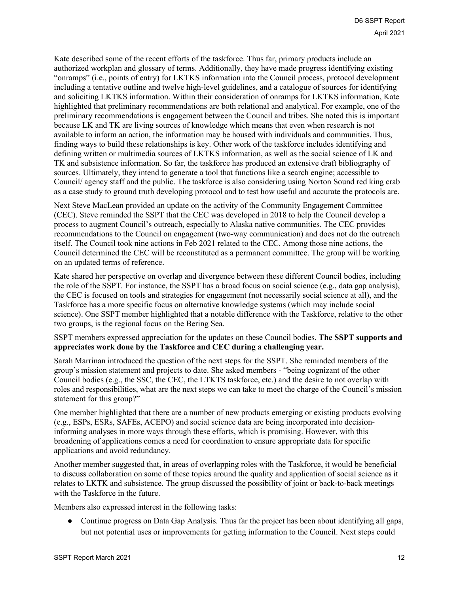Kate described some of the recent efforts of the taskforce. Thus far, primary products include an authorized workplan and glossary of terms. Additionally, they have made progress identifying existing "onramps" (i.e., points of entry) for LKTKS information into the Council process, protocol development including a tentative outline and twelve high-level guidelines, and a catalogue of sources for identifying and soliciting LKTKS information. Within their consideration of onramps for LKTKS information, Kate highlighted that preliminary recommendations are both relational and analytical. For example, one of the preliminary recommendations is engagement between the Council and tribes. She noted this is important because LK and TK are living sources of knowledge which means that even when research is not available to inform an action, the information may be housed with individuals and communities. Thus, finding ways to build these relationships is key. Other work of the taskforce includes identifying and defining written or multimedia sources of LKTKS information, as well as the social science of LK and TK and subsistence information. So far, the taskforce has produced an extensive draft bibliography of sources. Ultimately, they intend to generate a tool that functions like a search engine; accessible to Council/ agency staff and the public. The taskforce is also considering using Norton Sound red king crab as a case study to ground truth developing protocol and to test how useful and accurate the protocols are.

Next Steve MacLean provided an update on the activity of the Community Engagement Committee (CEC). Steve reminded the SSPT that the CEC was developed in 2018 to help the Council develop a process to augment Council's outreach, especially to Alaska native communities. The CEC provides recommendations to the Council on engagement (two-way communication) and does not do the outreach itself. The Council took nine actions in Feb 2021 related to the CEC. Among those nine actions, the Council determined the CEC will be reconstituted as a permanent committee. The group will be working on an updated terms of reference.

Kate shared her perspective on overlap and divergence between these different Council bodies, including the role of the SSPT. For instance, the SSPT has a broad focus on social science (e.g., data gap analysis), the CEC is focused on tools and strategies for engagement (not necessarily social science at all), and the Taskforce has a more specific focus on alternative knowledge systems (which may include social science). One SSPT member highlighted that a notable difference with the Taskforce, relative to the other two groups, is the regional focus on the Bering Sea.

SSPT members expressed appreciation for the updates on these Council bodies. **The SSPT supports and appreciates work done by the Taskforce and CEC during a challenging year.**

Sarah Marrinan introduced the question of the next steps for the SSPT. She reminded members of the group's mission statement and projects to date. She asked members - "being cognizant of the other Council bodies (e.g., the SSC, the CEC, the LTKTS taskforce, etc.) and the desire to not overlap with roles and responsibilities, what are the next steps we can take to meet the charge of the Council's mission statement for this group?"

One member highlighted that there are a number of new products emerging or existing products evolving (e.g., ESPs, ESRs, SAFEs, ACEPO) and social science data are being incorporated into decisioninforming analyses in more ways through these efforts, which is promising. However, with this broadening of applications comes a need for coordination to ensure appropriate data for specific applications and avoid redundancy.

Another member suggested that, in areas of overlapping roles with the Taskforce, it would be beneficial to discuss collaboration on some of these topics around the quality and application of social science as it relates to LKTK and subsistence. The group discussed the possibility of joint or back-to-back meetings with the Taskforce in the future.

Members also expressed interest in the following tasks:

• Continue progress on Data Gap Analysis. Thus far the project has been about identifying all gaps, but not potential uses or improvements for getting information to the Council. Next steps could